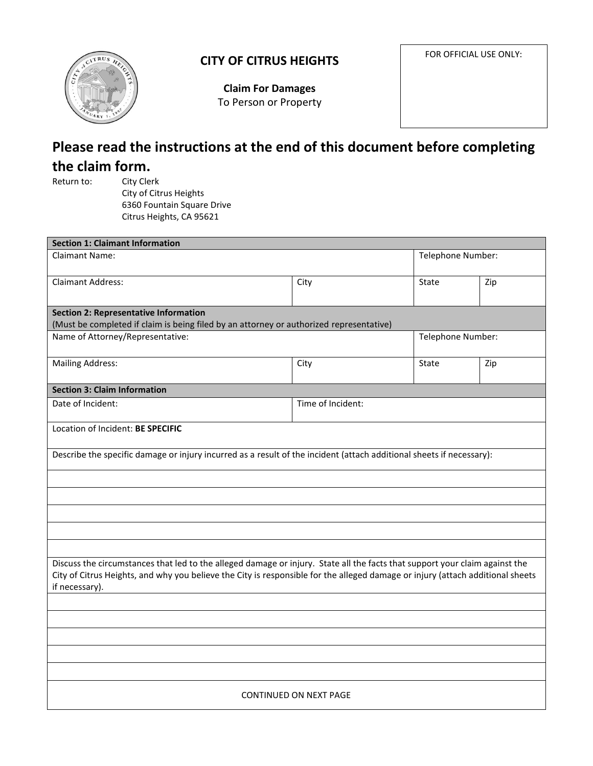

## **CITY OF CITRUS HEIGHTS**

FOR OFFICIAL USE ONLY:

**Claim For Damages**  To Person or Property

# **Please read the instructions at the end of this document before completing the claim form.**<br>**Return to:** City Cle

**City Clerk**  City of Citrus Heights 6360 Fountain Square Drive Citrus Heights, CA 95621

| <b>Section 1: Claimant Information</b>                                                                                                                                                                                                                                          |                   |              |                   |  |
|---------------------------------------------------------------------------------------------------------------------------------------------------------------------------------------------------------------------------------------------------------------------------------|-------------------|--------------|-------------------|--|
| <b>Claimant Name:</b>                                                                                                                                                                                                                                                           |                   |              | Telephone Number: |  |
| <b>Claimant Address:</b>                                                                                                                                                                                                                                                        | City              | <b>State</b> | Zip               |  |
| <b>Section 2: Representative Information</b>                                                                                                                                                                                                                                    |                   |              |                   |  |
| (Must be completed if claim is being filed by an attorney or authorized representative)                                                                                                                                                                                         |                   |              |                   |  |
| Name of Attorney/Representative:                                                                                                                                                                                                                                                | Telephone Number: |              |                   |  |
| <b>Mailing Address:</b>                                                                                                                                                                                                                                                         | City              | <b>State</b> | Zip               |  |
| <b>Section 3: Claim Information</b>                                                                                                                                                                                                                                             |                   |              |                   |  |
| Date of Incident:                                                                                                                                                                                                                                                               | Time of Incident: |              |                   |  |
| Location of Incident: BE SPECIFIC                                                                                                                                                                                                                                               |                   |              |                   |  |
| Describe the specific damage or injury incurred as a result of the incident (attach additional sheets if necessary):                                                                                                                                                            |                   |              |                   |  |
|                                                                                                                                                                                                                                                                                 |                   |              |                   |  |
|                                                                                                                                                                                                                                                                                 |                   |              |                   |  |
|                                                                                                                                                                                                                                                                                 |                   |              |                   |  |
|                                                                                                                                                                                                                                                                                 |                   |              |                   |  |
| Discuss the circumstances that led to the alleged damage or injury. State all the facts that support your claim against the<br>City of Citrus Heights, and why you believe the City is responsible for the alleged damage or injury (attach additional sheets<br>if necessary). |                   |              |                   |  |
|                                                                                                                                                                                                                                                                                 |                   |              |                   |  |
|                                                                                                                                                                                                                                                                                 |                   |              |                   |  |
|                                                                                                                                                                                                                                                                                 |                   |              |                   |  |
|                                                                                                                                                                                                                                                                                 |                   |              |                   |  |
| CONTINUED ON NEXT PAGE                                                                                                                                                                                                                                                          |                   |              |                   |  |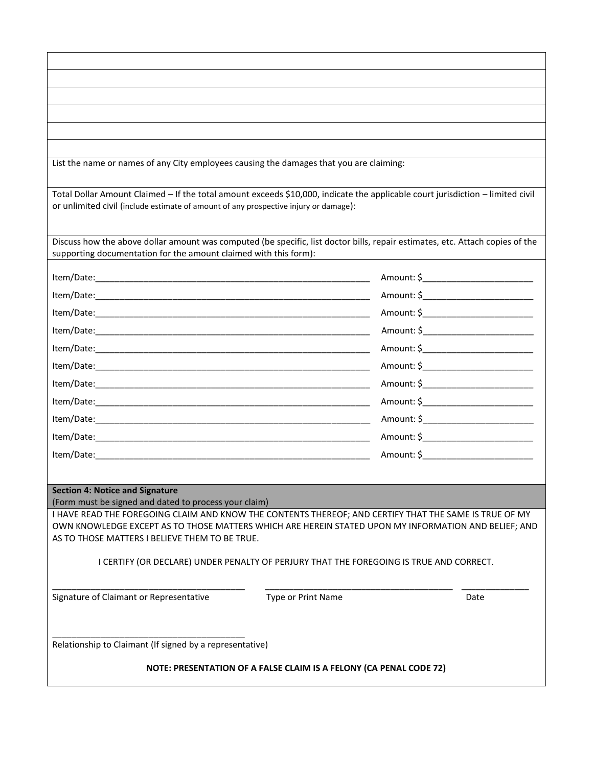| List the name or names of any City employees causing the damages that you are claiming:                                                                                                                                |                    |                                         |  |
|------------------------------------------------------------------------------------------------------------------------------------------------------------------------------------------------------------------------|--------------------|-----------------------------------------|--|
| Total Dollar Amount Claimed - If the total amount exceeds \$10,000, indicate the applicable court jurisdiction - limited civil<br>or unlimited civil (include estimate of amount of any prospective injury or damage): |                    |                                         |  |
| Discuss how the above dollar amount was computed (be specific, list doctor bills, repair estimates, etc. Attach copies of the<br>supporting documentation for the amount claimed with this form):                      |                    |                                         |  |
|                                                                                                                                                                                                                        |                    |                                         |  |
|                                                                                                                                                                                                                        |                    | Amount: \$_____________________________ |  |
|                                                                                                                                                                                                                        |                    |                                         |  |
|                                                                                                                                                                                                                        |                    | Amount: \$____________________________  |  |
|                                                                                                                                                                                                                        |                    | Amount: \$____________________________  |  |
|                                                                                                                                                                                                                        |                    | Amount: \$_________________________     |  |
|                                                                                                                                                                                                                        |                    |                                         |  |
|                                                                                                                                                                                                                        |                    |                                         |  |
|                                                                                                                                                                                                                        |                    | Amount: \$____________________________  |  |
|                                                                                                                                                                                                                        |                    | Amount: \$_________________________     |  |
|                                                                                                                                                                                                                        |                    | Amount: \$____________________________  |  |
|                                                                                                                                                                                                                        |                    |                                         |  |
| <b>Section 4: Notice and Signature</b>                                                                                                                                                                                 |                    |                                         |  |
| (Form must be signed and dated to process your claim)<br>I HAVE READ THE FOREGOING CLAIM AND KNOW THE CONTENTS THEREOF; AND CERTIFY THAT THE SAME IS TRUE OF MY                                                        |                    |                                         |  |
| OWN KNOWLEDGE EXCEPT AS TO THOSE MATTERS WHICH ARE HEREIN STATED UPON MY INFORMATION AND BELIEF; AND<br>AS TO THOSE MATTERS I BELIEVE THEM TO BE TRUE.                                                                 |                    |                                         |  |
| I CERTIFY (OR DECLARE) UNDER PENALTY OF PERJURY THAT THE FOREGOING IS TRUE AND CORRECT.                                                                                                                                |                    |                                         |  |
| Signature of Claimant or Representative                                                                                                                                                                                | Type or Print Name | Date                                    |  |
| Relationship to Claimant (If signed by a representative)                                                                                                                                                               |                    |                                         |  |
| NOTE: PRESENTATION OF A FALSE CLAIM IS A FELONY (CA PENAL CODE 72)                                                                                                                                                     |                    |                                         |  |

 $\overline{\phantom{a}}$